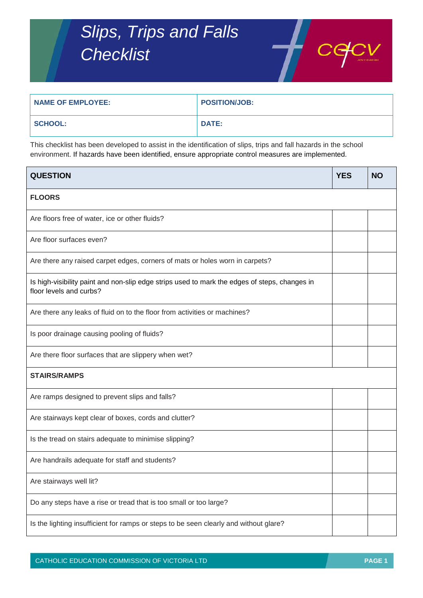## *Slips, Trips and Falls Checklist*



| <b>NAME OF EMPLOYEE:</b> | <b>POSITION/JOB:</b> |
|--------------------------|----------------------|
| <b>SCHOOL:</b>           | <b>DATE:</b>         |

This checklist has been developed to assist in the identification of slips, trips and fall hazards in the school environment. If hazards have been identified, ensure appropriate control measures are implemented.

| <b>QUESTION</b>                                                                                                          | <b>YES</b> | <b>NO</b> |  |  |
|--------------------------------------------------------------------------------------------------------------------------|------------|-----------|--|--|
| <b>FLOORS</b>                                                                                                            |            |           |  |  |
| Are floors free of water, ice or other fluids?                                                                           |            |           |  |  |
| Are floor surfaces even?                                                                                                 |            |           |  |  |
| Are there any raised carpet edges, corners of mats or holes worn in carpets?                                             |            |           |  |  |
| Is high-visibility paint and non-slip edge strips used to mark the edges of steps, changes in<br>floor levels and curbs? |            |           |  |  |
| Are there any leaks of fluid on to the floor from activities or machines?                                                |            |           |  |  |
| Is poor drainage causing pooling of fluids?                                                                              |            |           |  |  |
| Are there floor surfaces that are slippery when wet?                                                                     |            |           |  |  |
| <b>STAIRS/RAMPS</b>                                                                                                      |            |           |  |  |
| Are ramps designed to prevent slips and falls?                                                                           |            |           |  |  |
| Are stairways kept clear of boxes, cords and clutter?                                                                    |            |           |  |  |
| Is the tread on stairs adequate to minimise slipping?                                                                    |            |           |  |  |
| Are handrails adequate for staff and students?                                                                           |            |           |  |  |
| Are stairways well lit?                                                                                                  |            |           |  |  |
| Do any steps have a rise or tread that is too small or too large?                                                        |            |           |  |  |
| Is the lighting insufficient for ramps or steps to be seen clearly and without glare?                                    |            |           |  |  |